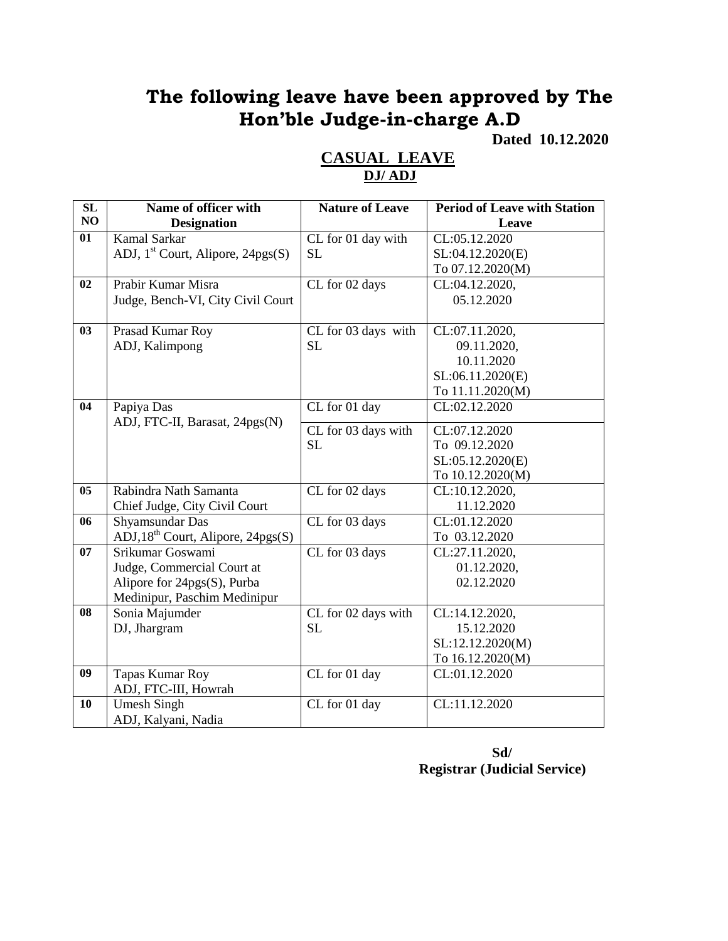# **The following leave have been approved by The Hon'ble Judge-in-charge A.D**

**Dated 10.12.2020**

| SL | Name of officer with                 | <b>Nature of Leave</b> | <b>Period of Leave with Station</b> |
|----|--------------------------------------|------------------------|-------------------------------------|
| NO | <b>Designation</b>                   |                        | Leave                               |
| 01 | <b>Kamal Sarkar</b>                  | CL for 01 day with     | CL:05.12.2020                       |
|    | ADJ, $1st$ Court, Alipore, 24pgs(S)  | <b>SL</b>              | SL:04.12.2020(E)                    |
|    |                                      |                        | To 07.12.2020(M)                    |
| 02 | Prabir Kumar Misra                   | CL for 02 days         | CL:04.12.2020,                      |
|    | Judge, Bench-VI, City Civil Court    |                        | 05.12.2020                          |
|    |                                      |                        |                                     |
| 03 | Prasad Kumar Roy                     | CL for 03 days with    | CL:07.11.2020,                      |
|    | ADJ, Kalimpong                       | <b>SL</b>              | 09.11.2020,                         |
|    |                                      |                        | 10.11.2020                          |
|    |                                      |                        | SL:06.11.2020(E)                    |
|    |                                      |                        | To 11.11.2020(M)                    |
| 04 | Papiya Das                           | CL for 01 day          | CL:02.12.2020                       |
|    | ADJ, FTC-II, Barasat, 24pgs(N)       | CL for 03 days with    | CL:07.12.2020                       |
|    |                                      | <b>SL</b>              | To 09.12.2020                       |
|    |                                      |                        | SL:05.12.2020(E)                    |
|    |                                      |                        | To 10.12.2020(M)                    |
| 05 | Rabindra Nath Samanta                | CL for 02 days         | CL:10.12.2020,                      |
|    | Chief Judge, City Civil Court        |                        | 11.12.2020                          |
| 06 | Shyamsundar Das                      | CL for 03 days         | CL:01.12.2020                       |
|    | $ADJ, 18th$ Court, Alipore, 24pgs(S) |                        | To 03.12.2020                       |
| 07 | Srikumar Goswami                     | CL for 03 days         | CL:27.11.2020,                      |
|    | Judge, Commercial Court at           |                        | 01.12.2020,                         |
|    | Alipore for 24pgs(S), Purba          |                        | 02.12.2020                          |
|    | Medinipur, Paschim Medinipur         |                        |                                     |
| 08 | Sonia Majumder                       | CL for 02 days with    | CL:14.12.2020,                      |
|    | DJ, Jhargram                         | <b>SL</b>              | 15.12.2020                          |
|    |                                      |                        | SL:12.12.2020(M)                    |
|    |                                      |                        | To 16.12.2020(M)                    |
| 09 | Tapas Kumar Roy                      | CL for 01 day          | CL:01.12.2020                       |
|    | ADJ, FTC-III, Howrah                 |                        |                                     |
| 10 | <b>Umesh Singh</b>                   | CL for 01 day          | CL:11.12.2020                       |
|    | ADJ, Kalyani, Nadia                  |                        |                                     |

### **CASUAL LEAVE DJ/ ADJ**

**Sd/ Registrar (Judicial Service)**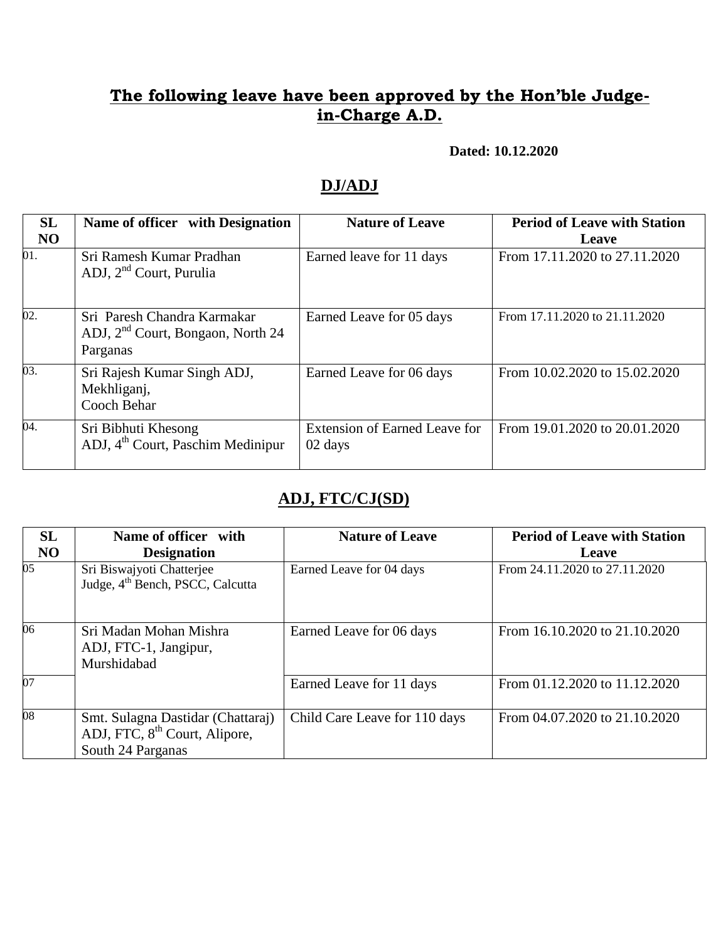### **The following leave have been approved by the Hon'ble Judgein-Charge A.D.**

**Dated: 10.12.2020**

### **DJ/ADJ**

| SL<br>N <sub>O</sub> | Name of officer with Designation                                               | <b>Nature of Leave</b>                          | <b>Period of Leave with Station</b><br><b>Leave</b> |
|----------------------|--------------------------------------------------------------------------------|-------------------------------------------------|-----------------------------------------------------|
| 01.                  | Sri Ramesh Kumar Pradhan<br>ADJ, $2nd$ Court, Purulia                          | Earned leave for 11 days                        | From 17.11.2020 to 27.11.2020                       |
| 02.                  | Sri Paresh Chandra Karmakar<br>ADJ, $2nd$ Court, Bongaon, North 24<br>Parganas | Earned Leave for 05 days                        | From 17.11.2020 to 21.11.2020                       |
| 03.                  | Sri Rajesh Kumar Singh ADJ,<br>Mekhliganj,<br>Cooch Behar                      | Earned Leave for 06 days                        | From 10.02.2020 to 15.02.2020                       |
| 04.                  | Sri Bibhuti Khesong<br>ADJ, 4 <sup>th</sup> Court, Paschim Medinipur           | <b>Extension of Earned Leave for</b><br>02 days | From 19.01.2020 to 20.01.2020                       |

### **ADJ, FTC/CJ(SD)**

| SL<br>NO        | Name of officer with<br><b>Designation</b>                                                          | <b>Nature of Leave</b>        | <b>Period of Leave with Station</b><br>Leave |
|-----------------|-----------------------------------------------------------------------------------------------------|-------------------------------|----------------------------------------------|
| 05 <sub>1</sub> | Sri Biswajyoti Chatterjee<br>Judge, 4 <sup>th</sup> Bench, PSCC, Calcutta                           | Earned Leave for 04 days      | From 24.11.2020 to 27.11.2020                |
| 06              | Sri Madan Mohan Mishra<br>ADJ, FTC-1, Jangipur,<br>Murshidabad                                      | Earned Leave for 06 days      | From 16.10.2020 to 21.10.2020                |
| $\overline{07}$ |                                                                                                     | Earned Leave for 11 days      | From 01.12.2020 to 11.12.2020                |
| 08              | Smt. Sulagna Dastidar (Chattaraj)<br>ADJ, FTC, 8 <sup>th</sup> Court, Alipore,<br>South 24 Parganas | Child Care Leave for 110 days | From 04.07.2020 to 21.10.2020                |